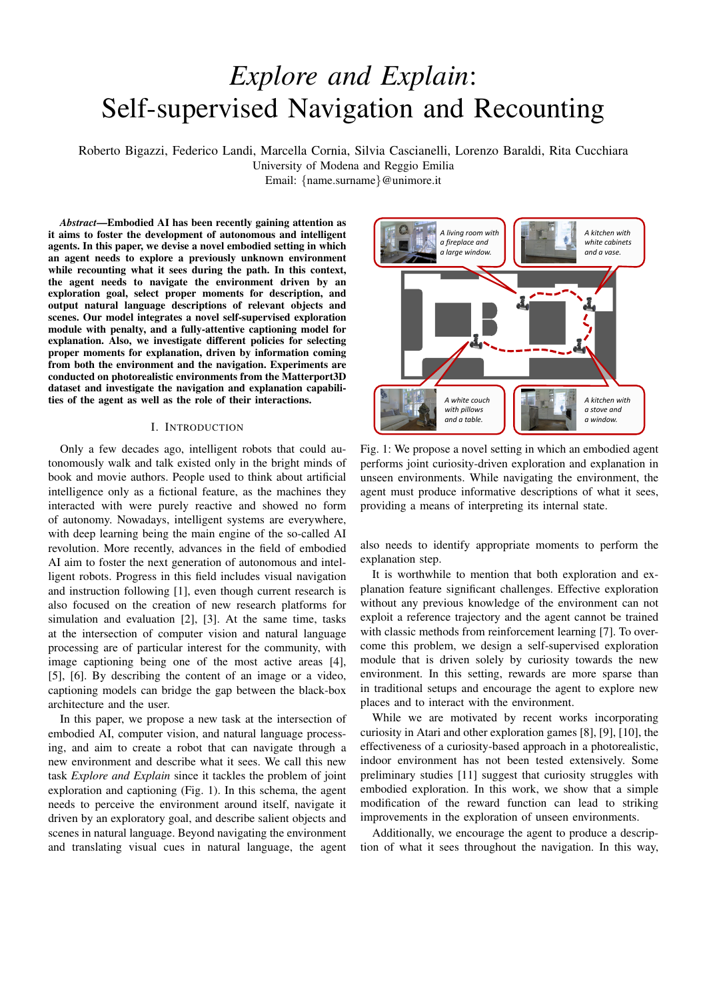# *Explore and Explain*: Self-supervised Navigation and Recounting

Roberto Bigazzi, Federico Landi, Marcella Cornia, Silvia Cascianelli, Lorenzo Baraldi, Rita Cucchiara

University of Modena and Reggio Emilia Email: {name.surname}@unimore.it

*Abstract*—Embodied AI has been recently gaining attention as it aims to foster the development of autonomous and intelligent agents. In this paper, we devise a novel embodied setting in which an agent needs to explore a previously unknown environment while recounting what it sees during the path. In this context, the agent needs to navigate the environment driven by an exploration goal, select proper moments for description, and output natural language descriptions of relevant objects and scenes. Our model integrates a novel self-supervised exploration module with penalty, and a fully-attentive captioning model for explanation. Also, we investigate different policies for selecting proper moments for explanation, driven by information coming from both the environment and the navigation. Experiments are conducted on photorealistic environments from the Matterport3D dataset and investigate the navigation and explanation capabilities of the agent as well as the role of their interactions.

## I. INTRODUCTION

Only a few decades ago, intelligent robots that could autonomously walk and talk existed only in the bright minds of book and movie authors. People used to think about artificial intelligence only as a fictional feature, as the machines they interacted with were purely reactive and showed no form of autonomy. Nowadays, intelligent systems are everywhere, with deep learning being the main engine of the so-called AI revolution. More recently, advances in the field of embodied AI aim to foster the next generation of autonomous and intelligent robots. Progress in this field includes visual navigation and instruction following [1], even though current research is also focused on the creation of new research platforms for simulation and evaluation [2], [3]. At the same time, tasks at the intersection of computer vision and natural language processing are of particular interest for the community, with image captioning being one of the most active areas [4], [5], [6]. By describing the content of an image or a video, captioning models can bridge the gap between the black-box architecture and the user.

In this paper, we propose a new task at the intersection of embodied AI, computer vision, and natural language processing, and aim to create a robot that can navigate through a new environment and describe what it sees. We call this new task *Explore and Explain* since it tackles the problem of joint exploration and captioning (Fig. 1). In this schema, the agent needs to perceive the environment around itself, navigate it driven by an exploratory goal, and describe salient objects and scenes in natural language. Beyond navigating the environment and translating visual cues in natural language, the agent



Fig. 1: We propose a novel setting in which an embodied agent performs joint curiosity-driven exploration and explanation in unseen environments. While navigating the environment, the agent must produce informative descriptions of what it sees, providing a means of interpreting its internal state.

also needs to identify appropriate moments to perform the explanation step.

It is worthwhile to mention that both exploration and explanation feature significant challenges. Effective exploration without any previous knowledge of the environment can not exploit a reference trajectory and the agent cannot be trained with classic methods from reinforcement learning [7]. To overcome this problem, we design a self-supervised exploration module that is driven solely by curiosity towards the new environment. In this setting, rewards are more sparse than in traditional setups and encourage the agent to explore new places and to interact with the environment.

While we are motivated by recent works incorporating curiosity in Atari and other exploration games [8], [9], [10], the effectiveness of a curiosity-based approach in a photorealistic, indoor environment has not been tested extensively. Some preliminary studies [11] suggest that curiosity struggles with embodied exploration. In this work, we show that a simple modification of the reward function can lead to striking improvements in the exploration of unseen environments.

Additionally, we encourage the agent to produce a description of what it sees throughout the navigation. In this way,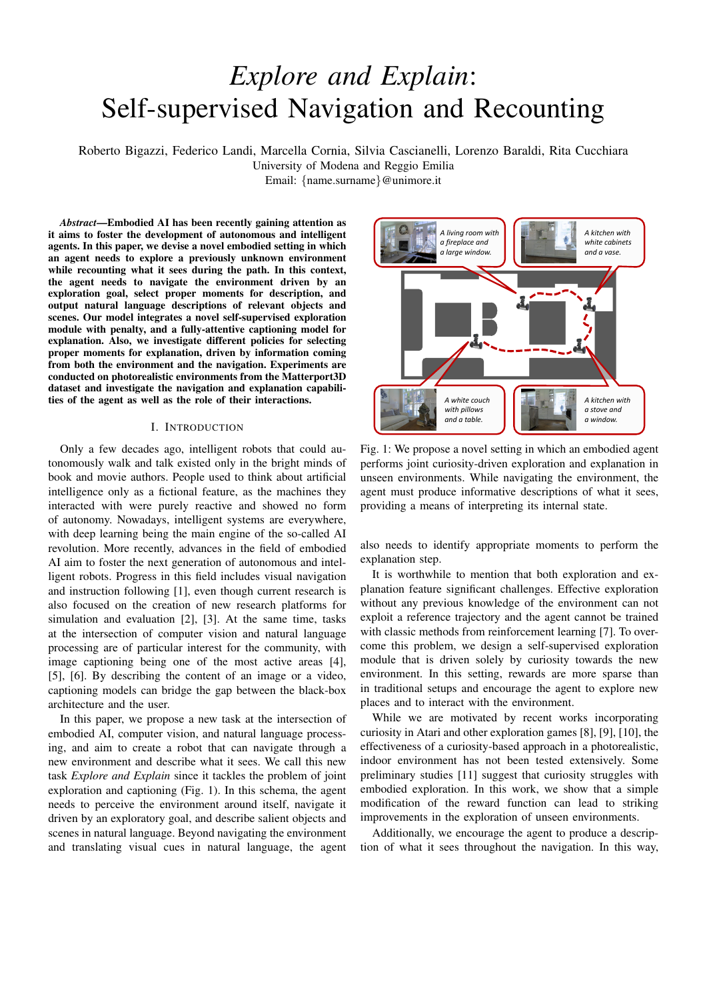we match the agent internal state (the measure of curiosity) with the variety and the relevance of the generated captions. Such matching offers a proxy for the desirable by-product of interpretability. In fact, by looking at the caption produced, the user can more easily interpret the navigation and perception capabilities of the agent, and the motivations of the actions it takes [12]. In this sense, our work is related to goal-driven explainable AI, *i.e.* the ability of autonomous agents to explain their actions and the reasons leading to their decisions [13].

Previous work on image captioning has mainly focused on recurrent neural networks. However, the rise of Transformer [14] and the great effectiveness shown by the use of self-attention have motivated a shift towards recurrent-free architectures. Our captioning algorithm builds upon recent findings on the importance of fully-attentive networks for image captioning and incorporates self-attention both during the encoding of the image features and in the decoding phase. This also allows for a reduction in computational requirements.

Finally, to bridge exploration and recounting, our model can count on a novel speaker policy, which regulates the speaking rate of our captioner using information coming from the agent perception. We call our architecture  $eX^2$ , from the name of the task: *Explore and Explain*.

Our main contributions are as follows:

We propose a new setting for embodied AI, *Explore and Explain* in which the agent must jointly deal with two challenging tasks: exploration and captioning of unseen environments.

We devise a novel solution involving curiosity for exploration. Thanks to curiosity, we can learn an efficient policy which can easily generalize to unseen environments. We are the first, to the best of our knowledge, to apply a captioning algorithm exclusively to indoor environment for robotic exploration. Results are encouraging and motivate further research.

## II. RELATED WORK

Our work is related to the literature on embodied visual exploration, curiosity-driven exploration, and captioning. In the following, we provide an overview of the most important work in these settings, and we briefly describe the most commonly used interactive environments for navigation agents.

Embodied visual exploration. Current research on embodied AI is mainly focused on tasks that require navigating indoor locations. Vision-and-language navigation [1], [15], pointgoal and object-goal navigation [7], [16], [17] are all tasks involving the ability for the agent to move across a previously unknown environment. Very recently, Ramakrishnan *et al.* [11] highlighted the importance of visual exploration in order to pre-train a generic embodied agent. While their study is mainly focused on exploration as a mean to gather information and to prepare for future tasks, we investigate the role of surprisal for exploration and the consistency between navigation paths and the descriptions given by the agent during the episodes.

Curiosity-driven exploration. Curiosity-driven exploration is an important topic in reinforcement learning literature. In this context, [18] provides a good summary on early works on intrinsic motivation. Among them, Schmidhuber [19] and Sun *et al.* [20] proposed to use information gain and compression as intrinsic rewards, while Klyubin *et al.* [21], and Mohamed and Rezende [22] adopted the concept of empowerment as reward during training. Differently, Houthooft *et al.* [23] presented an exploration strategy based on the maximization of information gain about the agent's belief of environment dynamics. Another common approach for exploration is that of using state visitation counts as intrinsic rewards [24], [25]. Our work follows the strategy of jointly training forward and backward models for learning a feature space, which has demonstrated to be effective in curiosity-driven exploration in Atari and other exploration games [8], [9], [10]. To the best of our knowledge, we are the first to investigate this type of exploration algorithms in photorealistic indoor environments.

Interactive environments. When it comes to the training of intelligent agents, an important role is played by the underlying environment. A first test bed for research in reinforcement learning has been provided by the Atari games [26], [27]. However, these kind of settings are not suitable for navigation and exploration in general. To solve this problem, many mazelike environments have been proposed [28], [29]. However, agents trained on synthetic environments hardly adapt to real world scenarios, because of the drastic change in terms of appearances. Simulating platforms like Habitat [2], Gibson [3], and Matterport3D simulator [1] provide a photorealistic environment to train navigation agents. Some of these simulators only provide RGB equirectangular images as visual input [1], while others employ the full 3D model and implement physic interactions with the environment [2], [3].

Automatic captioning. In the last few years, a large number of models has been proposed for image captioning [5], [30], [31]. The majority of them use recurrent neural networks as language models and a representation of the image which might be given by the output of a CNN [31], [32], or by a time-varying vector extracted with attention mechanisms over either a spatial grid of CNN features [30] or multiple image region vectors extracted from a pre-trained object detector [5]. Regarding the training strategies, notable advances have been made by using reinforcement learning to train non-differentiable captioning metrics [31]. Recently, following the strong advent of fully-attentive mechanisms in sequence modeling tasks [14], different Transformer-based captioning models have been presented [6], [33]. In this work, we devise a captioning model based on the Transformer architecture that, for the first time, is applied to images taken from indoor environments for robotic exploration.

#### III. PROPOSED METHOD

The proposed method consists of three main parts: a navigation module, a speaker policy, and a captioner. The last two components constitute the speaker module, which is used to explain the agent first-person point of view. The explanation is elicited by our speaker module basing on the information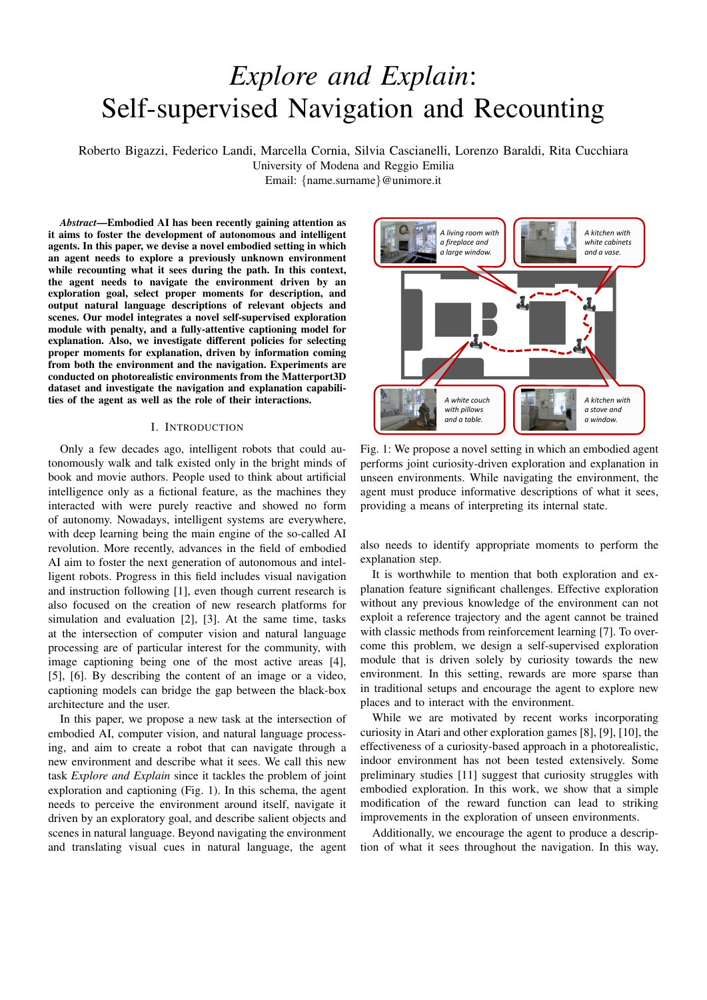

Fig. 2: Overview of our  $eX^2$  framework for navigation and captioning. Our model is composed of three main components: a navigation module which is in charge of exploring the environment, a captioning module which produces a textual sentence describing the agent point of view, and a speaker policy that connects the previous modules and activates the captioning component based on the information collected during the navigation.

gathered during the navigation. Our architecture is depicted in Fig. 2 and detailed below.

## *A. Navigation module*

The navigation policy takes care of the agent displacement inside the environment. At each time step  $t$  the agent acquires an observation  $x_t$  from the surroundings, performs an action  $a_t$ , and gets the consequent observation  $x_{t+1}$ . The moves available to the agent are simple, atomic actions such as *rotate 15 degrees* and *step ahead*. Our navigation module consists of three main components: a feature embedding network, a forward model, and an inverse model. The discrepancy of the predictions of dynamics models with the actual observation is measured by a reward signal  $r_t$ , which is then used to stimulate the agent to move towards more informative states.

**Embedding network.** At each time step  $t$ , the agent observes the environment and gathers  $x_t$ . This observation corresponds to the raw RGB-D pixels coming from the forward-facing camera of the agent. Yet, raw pixels are not optimal to encode the visual information [10]. For this reason, we employ a convolutional neural network to encode a more efficient and compact representation of the surrounding environment. We call this embedded representation  $(x_t)$ . To ensure that the features observed by the agent are stable throughout the training, we do not change the set of parameters during training. This approach is shown to be efficient for generic curiosity-based agents [10].

Forward dynamics model. Given an agent with policy  $(\ (x_t): \ )$ , represented by a neural network with parameters , the selected action at timestep  $t$  is given by:

$$
a_t \sim ((x_t); )
$$
 (1)

After executing the chosen action, the agent observes a new visual stimulus  $(x_{t+1})$ . The problem of predicting the next observation given the current input and action to be performed can be defined as a forward dynamics problem:

$$
\hat{f}(x_{t+1}) = f\left((x_t); a_t; \ \epsilon\right); \tag{2}
$$

where  $(x_{t+1})$  is the predicted visual embedding for the next observation  $x_{t+1}$  and f is the forward dynamics model with parameters  $F$ . The forward model is trained to minimize the following loss function:

$$
L_F = \frac{1}{2} \left\| \int_0^{\infty} (x_{t+1}) - (x_{t+1}) \right\|_2^2
$$
 (3)

Inverse dynamics model. Given two consecutive observations  $(x_t; x_{t+1})$ , the inverse dynamics model aims to predict the action performed at timestep t:

$$
\hat{a}_t = g\left(\left(x_t\right); \left(x_{t+1}\right); \big|_{l}\right); \tag{4}
$$

where  $\hat{a}_t$  is the predicted estimate for the action  $a_t$  and g is the inverse dynamics model with parameters  $\lambda$ . In our work, the inverse model  $g$  predicts a probability distribution over the possible actions and it is optimized to minimize the crossentropy loss with the ground-truth action  $a_t$  performed in the previous time step:

$$
L_I = y_t \log \hat{a}_t \tag{5}
$$

where  $y_t$  is the one-hot representation for  $a_t$ .

Curiosity-driven exploration. The agent exploration policy  $(\kappa t)(x_t)$ ; ) is trained to maximize the expected sum of rewards:

$$
\max E_{(x_t):)} \left[ \sum_t r_t \right]; \tag{6}
$$

where the exploration reward  $r_t$  at timestep t, also called surprisal [34], is given by our forward dynamics model:

$$
r_t = \frac{1}{2} \left\| f( (x_t); a_t) - (x_{t+1}) \right\|_2^2; \tag{7}
$$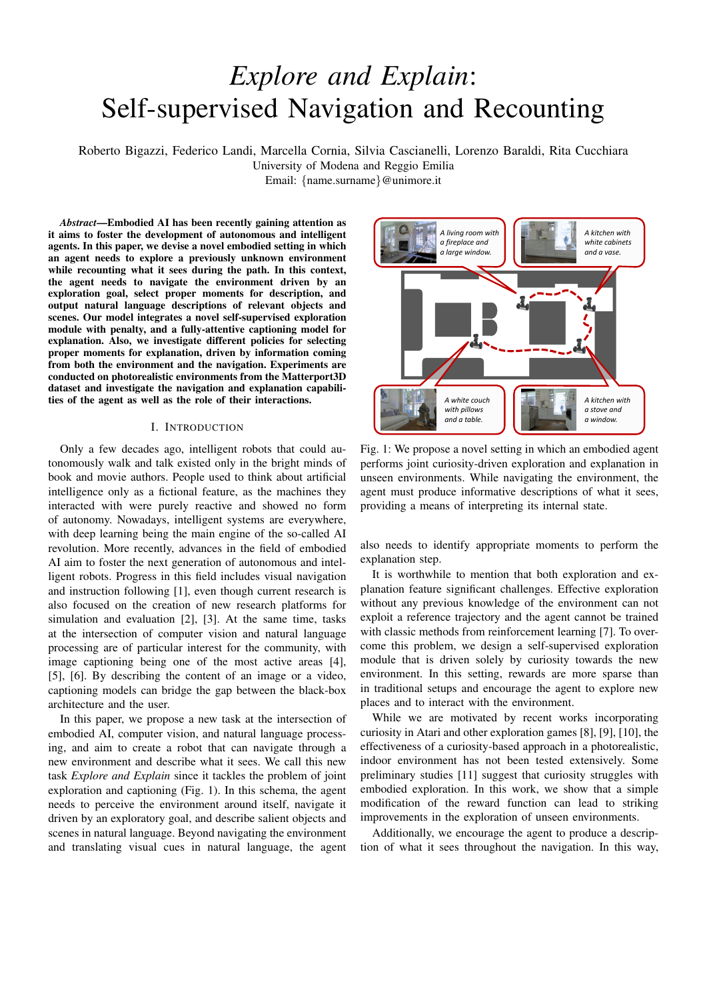with being a scaling factor. The overall optimization problem can be written as a composition of Eq. 3, 5, and 6:

$$
\min_{i, F, i} \left[ - \mathbb{E}_{((x_t):)} \left[ \Sigma_t r_t \right] + L_F + (1 - )L_I \right] (8)
$$

where weights the importance of the intrinsic reward signal *w.r.t.* the policy loss, and balances the contributions of the forward and inverse models.

Penalty for repeated actions. To encourage diversity in our policy, we devise a penalty which triggers after the agent has performed the same move for  $t$  timesteps. This prevents the agent from always picking the same action and encourages the exploration of different combinations of atomic actions.

We can thus rewrite the surprisal in Eq. 7 as:

$$
r_t = \frac{1}{2} ||f((x_t); a_t) - (x_{t+1})||_2^2 - p_t;
$$
 (9)

where  $p_t$  is the penalty at time step t. In the simplest formulation,  $p_t$  can be modeled with a scalar which is either 0 or equal to a constant  $\beta$ , after an action has been repeated t times.

## *B. Speaker policy*

As the navigation proceeds, new observations  $x_t$  are acquired and rewards  $r_t$  are obtained at each time step. Based on these, a speaker policy can be defined, that activates the captioning module. Different types of information from the environment and the navigation module allow defining different policies. In this work, we consider three policies, namely: object-driven, depth-driven, and curiosity-driven.

Object-driven policy. Given the RGB component of the observation  $x_t$ , relevant objects can be recognized. When at least a minimum number O of such objects are observed, the speaker policy triggers the captioner. The idea behind this policy is to let the captioner describe the scene only when objects that allow connoting the different views are present.

Depth-driven policy. Given the depth component of the observation  $x_t$ , the speaker policy activates the captioner when the mean depth value perceived  $D$  is above a certain threshold. This way, the captioner is triggered only depending on the distance of the agent from generic objects, regardless of their semantic category.

Curiosity-driven policy. Given the surprisal reward defined as in Eq. 7 and possibly cumulated over multiple timesteps, S, the speaker policy triggers the captioner when S is above a certain threshold. This policy is independent of the type of information perceived from the environment but is instead closely related to the navigation module. Thus, it helps to match the agent's internal state with the generated captions more explicitly than the other policies.

### *C. Captioning module*

When the speaker policy activates, a captioning module is in charge of producing a description in natural language given the current observation  $x_t$ . Following recent literature on the topic, we here employ a visual encoder based on image regions [35],

and a decoder which models the probability of generating one word given previously generated ones. In contrast to previous captioning approaches based on recurrent networks, we propose to use a fully-attentive model for both the encoding and the decoding stage, building on the Transformer model [14].

Region encoder. Given a set of features from image regions  $R = \{r_1, ..., r_N\}$  extracted from the agent visual view, our encoder applies a stack of self-attentive and linear projection operations. As the former be seen as convolutions on a graph, the role of the encoder can also be interpreted as that of learning visual relationships between image regions. The selfattention operator S builds upon three linear projections of the input set, which are treated as queries, keys and values for an attention distribution. Stacking region features  $R$  in matrix form, the operator can be defined as follows:

$$
S(R) = \text{Attention}(W_qR; W_kR; W_vR); \qquad (10)
$$
  
Attention(Q; K; V) = softmax  $\left(\frac{QK^T}{\sqrt{d}}\right) V$ :

The output of the self-attention operator is a new set of elements  $S(R)$ , with the same cardinality as R, in which each element of  $R$  is replaced with a weighted sum of the values, *i.e.* of linear projections of the input.

Following the structure of the Transformer model, the selfattention operator S is followed by a position-wise feedforward layer, and each of these two operators is encapsulated within a residual connection and a layer norm operation. Multiple layers of this kind are then applied in a stack fashion to obtain the final encoder.

Language decoder. The output of the encoder module is a set of region encodings  $\bar{R}$  with the same cardinality of  $\bar{R}$ . We employ a fully-attentive decoder which is conditioned on both previously generated words and region encodings, and is in charge of generating the next tokens of the output caption. The structure of our decoder follows that of the Transformer [14], and thus relies on self-attentive and cross-attentive operations.

Given a partially decoded sequence of words  $W =$  $\{w_0; w_1; ...; w\}$ , each represented as a one-hot vector, the decoder applies a self-attention operation in which W is used to build queries, keys and values. To ensure the causality of this sequence encoding process, we purposely mask the attention operator so that each word can only be conditioned to its left-hand sub-sequence, *i.e.* word  $W_t$  is conditioned on  $\{W_{t'}\}_{t'}$  t only. Afterwards, a cross-attention operator is applied between  $W$  and  $R$  to condition words on regions, as follows:

$$
C(W; R) = \text{Attention}(W_q W; W_k R; W_v R). \tag{11}
$$

As in the Transformer model, after a self-attention and a cross-attention stage, a position-wise feed-forward layer is applied, and each of these operators is encapsulated within a residual connection and a layer norm operation. Finally, our decoder stacks together multiple decoder layers, helping to refine the understanding of the textual input.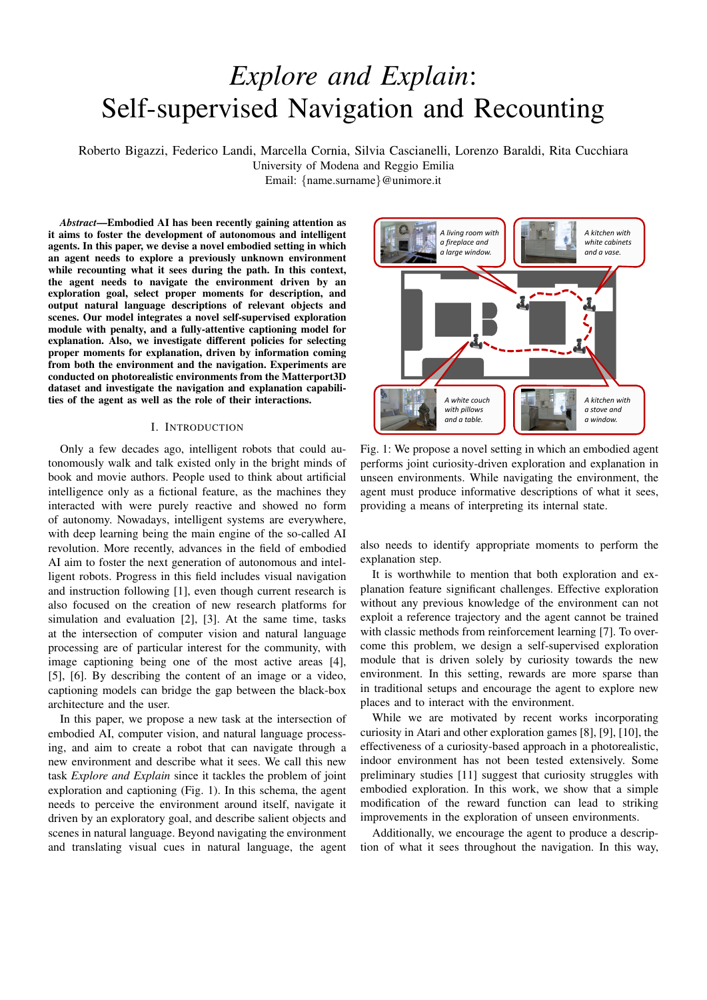Overall, the decoder takes as input word vectors, and the t-th element of its output sequence encodes the prediction of a word at time  $t + 1$ , conditioned on  $\{W_t\}$  t. After taking a linear projection and a softmax operation, this encodes a probability over words in the dictionary. During training, the model is trained to predict the next token given previous ground-truth words; during decoding, we iteratively sample a predicted word from the output distribution and feed it back to the model to decode the next one, until the end of the sequence is reached. Following the usual practice in image captioning literature, the model is trained to predict an end-of-sequence token to signal the end of the caption.

## IV. EXPERIMENTAL SETUP

# *A. Dataset*

The main testbed for this work is Matterport3D [36], a photorealistic dataset of indoor environments. Some of the buildings in the dataset contain outdoor components like swimming pools or gardens, raising the difficulty of the exploration task. The dataset is split into 61 scenes for training, 11 for validation, and 18 for testing. It also provides instance segmentation annotations that we use to evaluate the captioning module. Overall, the dataset is annotated with 40 different semantic categories. For both training and testing, we use the episodes provided by Habitat API [2] for the point goal navigation task, employing only the starting point of each episode. The size of the training set amounts to a total of 5M episodes, while the test set is composed of 1 008 episodes.

#### *B. Evaluation protocol*

Navigation module. To quantitatively evaluate the navigation module, we use a curiosity-based metric: we extract the sum of the surprisal values defined in Eq. 7 every 20 steps performed by the agent, and then we compute the average over the number of test episodes.

Captioning module. Standard captioning methods are usually evaluated by comparing each generated caption against the corresponding ground-truth sentences. However, in this setting, only the information on which objects are present on the scene is available, thanks to the semantic annotations provided by the Matterport3D dataset. Therefore, to evaluate the performance of our captioning module, we define two different metrics: a soft coverage measure that assesses how the predicted caption covers all the ground-truth objects, and a diversity score that measures the diversity in terms of described objects of two consecutively generated captions.

In details, for each caption generated according to the speaker policy, we compute the soft coverage measure between the ground-truth set of semantic categories and the set of nouns in the caption. Given a predicted caption, we firstly extract all nouns  $n$  from the sentence and we compute the optimal assignment between them and the set of ground-truth categories  $c$ , using distances between word vectors and the Hungarian algorithm [37]. We then define an intersection score between the two sets as the sum of assignment profits. Our

coverage measure is computed as the ratio of the intersection score and the number of ground-truth semantic classes:

$$
Cov(n;c) = \frac{I(n;c)}{\#c}.
$$
 (12)

where  $I(\cdot;\cdot)$  is the intersection score, and the # operator represents the cardinality of the set of ground-truth categories.

Since images may contain small objects which not necessarily should be mentioned in a caption describing the overall scene, we define a variant of the coverage measure by thresholding over the minimum object area. In this case, we consider  $c$  as the set of objects whose overall areas are greater than the threshold.

For the diversity measure, we consider the sets of nouns extracted from two consecutively generated captions, indicated as  $n_t$  and  $n_{t+1}$ , and we define a soft intersection over union score between the two sets of nouns. Also in this case, we compute the intersection score between the two sets using word distances and the Hungarian algorithm to find the optimal assignment. Recalling that set union can be expressed in function of an intersection, the final diversity score is computed by subtracting the intersection over union score from 1 (*i.e.* the Jaccard distance between the two sets):

Div(
$$
\mathbf{n}_t
$$
;  $\mathbf{n}_{t+1}$ ) = 1 -  $\frac{\mathbf{I}(\mathbf{n}_t; \mathbf{n}_{t+1})}{\# \mathbf{n}_t + \# \mathbf{n}_{t+1} - \mathbf{I}(\mathbf{n}_t; \mathbf{n}_{t+1})}$  (13)

where  $I(\cdot;\cdot)$  is the intersection score previously defined, and the  $#$  operator represents the cardinality of the sets of nouns.

We evaluate the diversity of generated captions with respect to the three speaker policies described in Sec. III-B and considering different thresholds for each policy (*i.e.* number of objects, mean depth value, and surprisal score). For each speaker policy and selected threshold, the agent is triggered a different number of times thus generating a variable number of captions during the episode. We define the agent's overall loquacity as the number of times it is activated by the speaker policy according to a given threshold. In the experiments, we report the loquacity values averaged over the test episodes.

## *C. Implementation and training details*

Navigation module. Navigation agents are trained using only visual inputs, with each observation converted to grayscale, cropped and re-scaled to a  $84 \times 84$  size. A stack of four historical observations  $[x_{t-3}; x_{t-2}; x_{t-1}; x_t]$  is used for training in order to model temporal dependencies. We adopt PPO [38] as learning algorithm and employ Adam [39] as optimizer. The learning rate for all networks is set to  $10^{-4}$  and the length of rollouts is equal to 128. For each rollout we make 3 optimization epochs. The features  $(x_t)$  used by the forward and backward dynamics networks are 512-dimensional and are obtained using a randomly initialized convolutional network with fixed weights , following the approach in [10].

The model is trained using the splits described in Sec. IV-A, stopping the training after 10 000 updates of the agent. The length of an exploration episode is 1 000 steps. In our experiments, we set the parameters reported in Eq. 8 to  $= 0.1$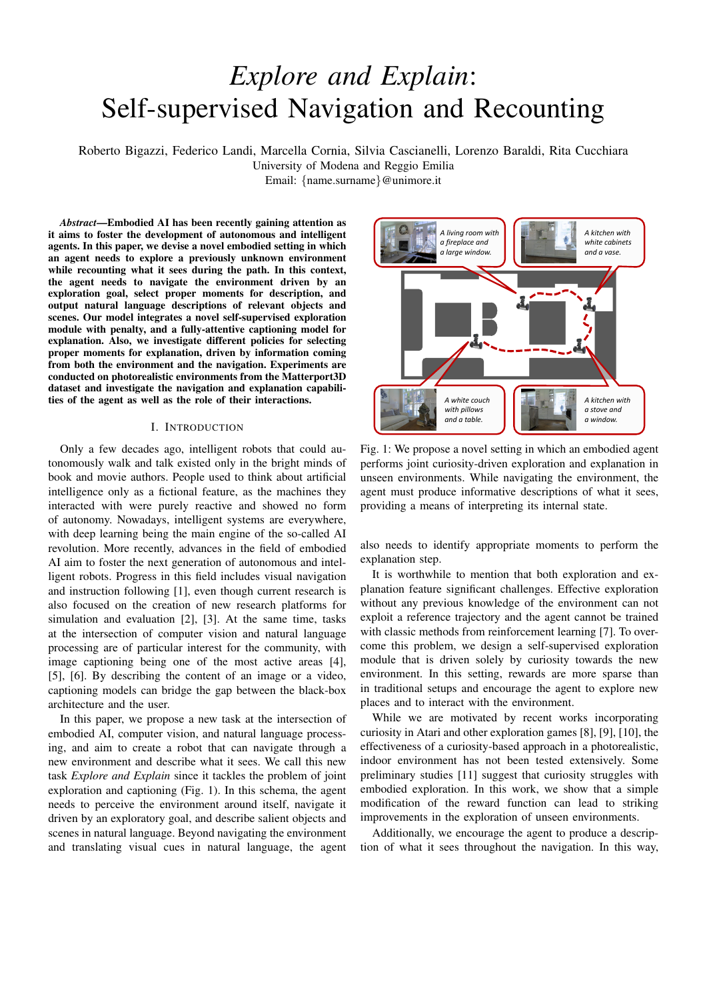and = 0.2, respectively. Concerning the penalty  $p_t$  given to the agent to stimulate diversity (Eq. 9), we set  $p_t = p = 0.01$ after the same action is repeated for  $t=5$  times.

Speaker policy. For the object-driven policy, we use the instance segmentation annotations provided by the Matterport3D simulator. For this policy, we select 15 of the 40 semantic categories in the dataset, discarding the contextual ones, which would not be discriminative for the different views acquired by the agent, as for example *wall*, *floor*, and *ceiling*. This way, we can better evaluate the effect of the policy without it being affected by the performance of an underlying object detector of recognizing objects in the agent's current view. Also for the depth-driven policy, we obtain the depth information of the current view from the Matterport3D simulator, averaging the depth values to extract a single score. In the curiosity-driven policy, we consider the sum of surprisal scores extracted over the last 20 steps, obtained by the agent during navigation.

Captioning module. To represent image regions, we use Faster R-CNN finetuned on the Visual Genome dataset [35], [5], thus obtaining a 2048-dimensional feature vector for each region. To represent words, we use one-hot vectors and linearly project them to the input dimensionality of the model, d. We also employ sinusoidal positional encodings [14] to represent word positions inside the sequence, and sum the two embeddings before the first encoding layer. In both region encoder and language decoder, we set the dimensionality d of each layer to 512, the number of heads to 8, and the dimensionality of the inner feed-forward layer to 2048. We use dropout with keep probability 0:9 after each attention layer and after position-wise feed-forward layers.

Following a standard practice in image captioning [31], [5], we train our model in two phases using image-caption pairs coming from the COCO dataset [40]. Firstly, the model is trained with cross-entropy loss to predict the next token given previous ground-truth words. Then, we further optimize the sequence generation using reinforcement learning employing a variant of the self-critical sequence training [31] on sequences sampled using beam search [5]. Pre-training with crossentropy loss is done using the learning rate scheduling strategy defined in [14] with a warmup equal to 10 000 iterations. Then, during finetuning with reinforcement learning, we use the CIDEr-D score [41] as reward and a fixed learning rate equal to  $5<sup>6</sup>$ . We train the model using the Adam optimizer [39] and a batch size of 50. During CIDEr-D optimization and caption decoding, we use beam search with a beam size equal to 5. To compute coverage and diversity metrics and for extracting nouns from predicted captions, we use the spaCy NLP toolkit $^1$ . We use GloVe word embeddings [42] to compute word similarities between nouns and semantic class names.

# V. EXPERIMENTAL RESULTS

## *A. Navigation results*

As defined in Sec. IV-B, we evaluate the performance of our navigation agents by computing the average surprisal score

<sup>1</sup>https://spacy.io/

TABLE I: Surprisal scores for different navigation policies obtained during the agent exploration of the environment.

| <b>Navigation Module</b>                              | <b>Surprisal</b> |
|-------------------------------------------------------|------------------|
| Random Exploration                                    | 0.333            |
| $eX^2$ w/o Penalty for repeated actions (RGB only)    | 0.193            |
| $eX^2$ w/o Penalty for repeated actions (Depth only)  | 0.361            |
| $eX^2$ w/o Penalty for repeated actions (RGB + Depth) | 0.439            |
| $\alpha$ <sup>2</sup>                                 | በ 697            |



Fig. 3: Qualitative results of the agent trajectories in sample navigation episodes.

over test episodes. Results are reported in Table I and show that our complete method  $(eX^2)$  outperforms all other variants, achieving a significantly greater surprisal score than our method without penalty. In particular, the final performance greatly benefits from using both visual modalities (RGB and depth), instead of using a single visual modality to represent the scene. Notably, random exploration (*e.g.* sampling  $a_t$  from a uniform distribution over the available actions at each time step  $\hat{t}$ ) proves to be a strong baseline for this task, performing better than our single-modality RGB agent. Nonetheless, our final agent greatly outperforms the baselines, scoring 0:364 and 0:258 above the random policy and the vanilla curiositybased agent respectively.

Qualitative Analysis. In Fig. 3, we report some top-down views from the testing scenes, together with the trajectory from three different navigation agents: the random baseline, our approach without the penalty for repeated action described in Sec. III-A, and our full model. We notice that the agent without penalty usually remains in the starting area and thus has some difficulties in exploring the whole environment. Instead, our complete model demonstrates better results as it is able to explore a much wider area within the environment. Thus, we conclude that the addition of a penalty for repeated actions in the final reward function is of central importance when it comes to stimulating the agent towards the exploration of regions far from the starting point.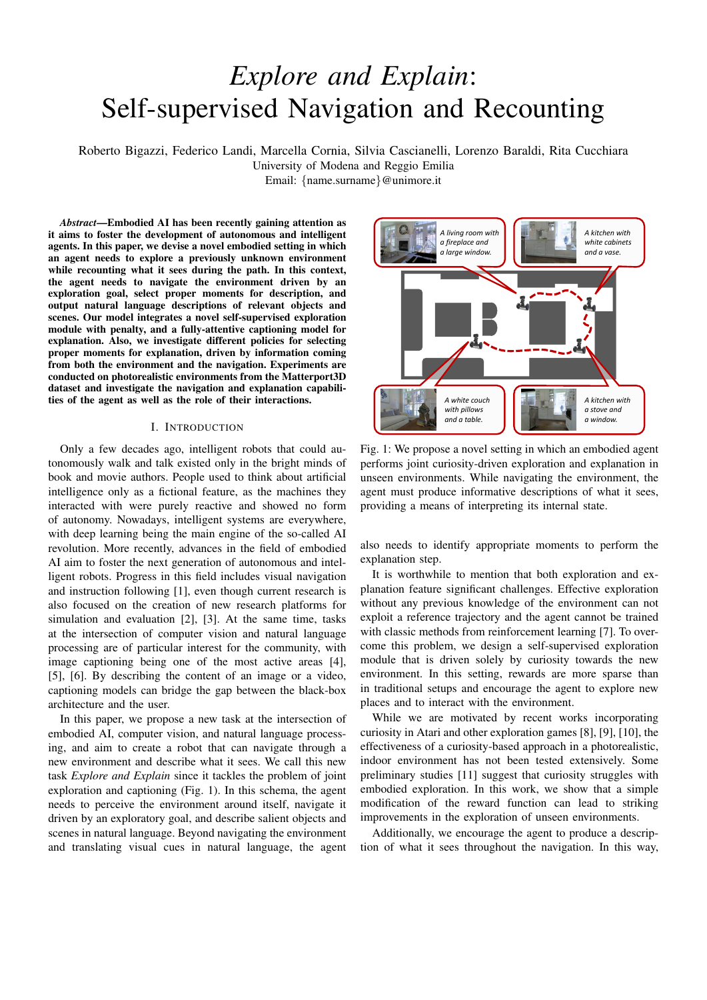TABLE II: Coverage and diversity results for different version of our captioning module. Results are reported for our three speaker policies using different thresholds to determine the agent's loquacity inside the episode.

|                          | Object-driven policy ( $O > 1$ )<br>Loquacity = $43:3$    |                       |       |                                         |       | Object-driven policy $(O > 3)$<br>Loquacity = $27:4$       |                     |       |                                          |       | Object-driven policy ( $O \geq 5$ )<br>Loquacity = $15.8$ |                       |                           |                        |       |
|--------------------------|-----------------------------------------------------------|-----------------------|-------|-----------------------------------------|-------|------------------------------------------------------------|---------------------|-------|------------------------------------------|-------|-----------------------------------------------------------|-----------------------|---------------------------|------------------------|-------|
| <b>Captioning Module</b> | $\text{Cov}_{>1\%}$                                       | $\textsf{Cov}_{>3\%}$ |       | $Cov_{>5\%}$ $Cov_{>10\%}$              | Div   | $\text{Cov}_{>1\%}$                                        | $\text{Cov}_{>3\%}$ |       | $\text{Cov}_{>5\%}$ $\text{Cov}_{>10\%}$ | Div   | $\text{Cov}_{>1\%}$                                       | $\mathsf{Cov}_{>3\%}$ | $\mathsf{Cov}_{>5\%}$     | $\textsf{Cov}_{>10\%}$ | Div   |
| $eX^2$ (6 lay.)          | 0.456                                                     | 0.550                 | 0.609 | 0.706                                   | 0.386 | 0.387                                                      | 0.502               | 0.576 | 0.696                                    | 0.363 | 0.348                                                     | 0.468                 | 0.549                     | 0.691                  | 0.352 |
| $eX^2$ (3 lay.)          | 0.474                                                     | 0.558                 | 0.612 | 0.701                                   | 0.372 | 0.384                                                      | 0.497               | 0.571 | 0.691                                    | 0.350 | 0.347                                                     | 0.467                 | 0.546                     | 0.688                  | 0.338 |
| $eX^2$ (2 lay.)          | 0.485                                                     | 0.579                 | 0.637 | 0.727                                   | 0.368 | 0.416                                                      | 0.534               | 0.607 | 0.721                                    | 0.349 | 0.373                                                     | 0.497                 | 0.577                     | 0.713                  | 0.340 |
| $eX^2$ (1 lay.)          | 0.468                                                     | 0.564                 | 0.623 | 0.720                                   | 0.394 | 0.400                                                      | 0.519               | 0.593 | 0.713                                    | 0.377 | 0.356                                                     | 0.479                 | 0.560                     | 0.702                  | 0.373 |
|                          | Depth-driven policy ( $D > 0.25$ )<br>Loquacity = $38:5$  |                       |       |                                         |       | Depth-driven policy ( $D > 0.5$ )<br>Loquacity = $31:1$    |                     |       |                                          |       | Depth-driven policy ( $D > 0.75$ )<br>Loquacity = $14.8$  |                       |                           |                        |       |
| <b>Captioning Module</b> | $\textsf{Cov}_{>1\%}$                                     |                       |       | $Cov_{>3\%}$ $Cov_{>5\%}$ $Cov_{>10\%}$ | Div   | $\text{Cov}_{>1\%}$                                        |                     |       | $Cov_{>3\%}$ $Cov_{>5\%}$ $Cov_{>10\%}$  | Div   | $\text{Cov}_{>1\%}$                                       |                       | $Cov_{>3\%}$ $Cov_{>5\%}$ | $\mathsf{Cov}_{>10\%}$ | Div   |
| $eX^2$ (6 lay.)          | 0.433                                                     | 0.532                 | 0.600 | 0.705                                   | 0.360 | 0.420                                                      | 0.519               | 0.585 | 0.701                                    | 0.346 | 0.399                                                     | 0.497                 | 0.566                     | 0.691                  | 0.339 |
| $eX^2$ (3 lay.)          | 0.427                                                     | 0.524                 | 0.588 | 0.700                                   | 0.349 | 0.413                                                      | 0.511               | 0.577 | 0.695                                    | 0.335 | 0.394                                                     | 0.491                 | 0.559                     | 0.685                  | 0.330 |
| $eX^2$ (2 lay.)          | 0.463                                                     | 0.562                 | 0.625 | 0.730                                   | 0.341 | 0.449                                                      | 0.550               | 0.612 | 0.726                                    | 0.330 | 0.425                                                     | 0.525                 | 0.595                     | 0.715                  | 0.325 |
| $eX^2$ (1 lay.)          | 0.448                                                     | 0.548                 | 0.613 | 0.723                                   | 0.371 | 0.434                                                      | 0.536               | 0.603 | 0.719                                    | 0.359 | 0.412                                                     | 0.513                 | 0.583                     | 0.708                  | 0.355 |
|                          | Curiosity-driven policy $(S > 0.7)$<br>Loquacity = $27:2$ |                       |       |                                         |       | Curiosity-driven policy $(S > 0.85)$<br>Loquacity = $18:2$ |                     |       |                                          |       | Curiosity-driven policy $(S > 1.0)$<br>Loquacity = $6:4$  |                       |                           |                        |       |
| <b>Captioning Module</b> | $\text{Cov}_{>1\%}$                                       |                       |       | $Cov_{>3\%}$ $Cov_{>5\%}$ $Cov_{>10\%}$ | Div   | $\text{Cov}_{>1\%}$                                        |                     |       | $Cov_{>3\%}$ $Cov_{>5\%}$ $Cov_{>10\%}$  | Div   | $\text{Cov}_{>1\%}$                                       |                       | $Cov_{>3\%}$ $Cov_{>5\%}$ | $\text{Cov}_{>10\%}$   | Div   |
| $eX^2$ (6 lay.)          | 0.425                                                     | 0.523                 | 0.588 | 0.703                                   | 0.356 | 0.421                                                      | 0.515               | 0.581 | 0.699                                    | 0.360 | 0.422                                                     | 0.518                 | 0.583                     | 0.702                  | 0.364 |
| $eX^2$ (3 lay.)          | 0.418                                                     | 0.514                 | 0.578 | 0.694                                   | 0.348 | 0.413                                                      | 0.506               | 0.571 | 0.691                                    | 0.350 | 0.413                                                     | 0.506                 | 0.570                     | 0.690                  | 0.361 |
| $eX^2$ (2 lay.)          | 0.453                                                     | 0.552                 | 0.617 | 0.726                                   | 0.340 | 0.448                                                      | 0.545               | 0.611 | 0.724                                    | 0.342 | 0.448                                                     | 0.545                 | 0.610                     | 0.723                  | 0.349 |
| $eX^2$ (1 lay.)          | 0.438                                                     | 0.539                 | 0.604 | 0.719                                   | 0.370 | 0.433                                                      | 0.530               | 0.597 | 0.716                                    | 0.373 | 0.434                                                     | 0.532                 | 0.597                     | 0.717                  | 0.380 |

## *B. Speaker Results*

Here, we provide quantitative and qualitative results for our speaker module, which is composed of a policy and a captioner. The policy is in charge of deciding when to activate the captioner, which in turns generates a description of the first-person view of the agent. Results are reported in Table II and discussed below.

Speaker Policy. Among the three different policies, the objectdriven speaker performs the best in terms of coverage and diversity. In particular, setting a low threshold  $(O \ge 1)$ provides the highest scores. At the same time, the agent tends to speak more often, which is desirable in a visually rich environment. As the threshold for O gets higher, performances get worse. This indicates that, as the number of object in the scene increases, there are many details that the captioner cannot describe. The same applies for the depth-driven policy: while the agent tends to describe well items that are closer, it experiences some troubles when facing an open space with more distant objects ( $D > 0.75$ ).

Instead, our curiosity-driven speaker shows a more peculiar behaviour: as the threshold grows, results get better in terms of diversity, while the coverage scores are quite stable (only  $-0.005\%$  in terms of Cov <sub>>1%</sub>). It is also worth mentioning that our curiosity-based speaker can be adopted in any kind of environment, as the driving metric is computed from the raw RGB-D input. The same does not apply in an object-driven policy, since the agent needs semantic information. Further, the curiosity-driven policy employs a learned metric, hence being more related to the exploration module.

From all these observations, we can conclude that curiosity not only helps training navigation agents, but also represents and important metric when bridging cross-modal components in embodied agents.

Captioner. When evaluating the captioning module, we com-

pare the performance using a different number of encoding and decoding layers. As it can be seen from Table II, the captioning model achieves the best results when composed of 2 layers for coverage and 1 layer for diversity. While this is in contrast with traditional Transformer-based models [14], that employ 6 or more layers, it is in line with recent research on image captioning [6], which finds beneficial to adopt fewer layers. At the same time, a more lightweight network can possibly be embedded in many embodied agents, thus being more appropriate for our task.

Qualitative Analysis. We report some qualitative results for  $eX^2$  in Fig. 4. To ease visualization, we underline the items mentioned by the captioner in the sentence, and highlight them with a bounding box of the same color in the corresponding input image. Our agent can explain the scene perceived from a first-person, egocentric point of view. We can notice that  $eX^2$ identifies all the main objects in the environment and produces a suitable description even when the view is partially occluded.

## VI. CONCLUSION

In this work, we have presented a new setting for embodied AI that is composed of two tasks: exploration and captioning. Our agent  $eX^2$  uses intrinsic rewards applied to navigation in a photorealistic environment and a novel speaker module that generates captions. The captioner produces sentences according to a speaker policy that could be based on three metrics: object-driven, depth-driven, and curiosity-driven. The experiments show that  $eX^2$  is able to generalize to unseen environments in terms of exploration, while the speaker policy functions to filter the number of time steps where the caption is actually generated. We hope that our work serves as a starting point for future research on this new coupled-task of exploration and captioning. Our results with curiosity-based navigation in photorealistic environments and with the speaker module motivate further works in this direction.